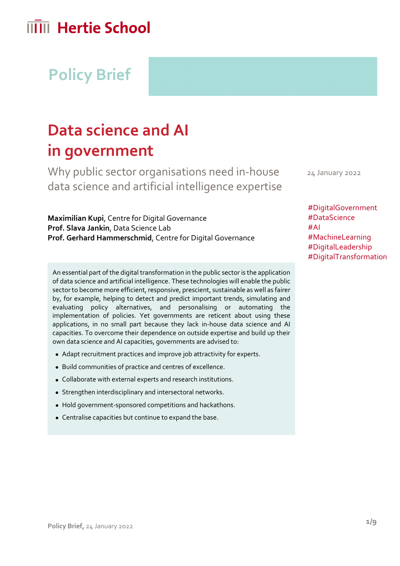# **Policy Brief**

## **Data science and AI in government**

Why public sector organisations need in-house data science and artificial intelligence expertise

**Maximilian Kupi**, Centre for Digital Governance **Prof. Slava Jankin**, Data Science Lab **Prof. Gerhard Hammerschmid**, Centre for Digital Governance

An essential part of the digital transformation in the public sector is the application of data science and artificial intelligence. These technologies will enable the public sector to become more efficient, responsive, prescient, sustainable as well as fairer by, for example, helping to detect and predict important trends, simulating and evaluating policy alternatives, and personalising or automating the implementation of policies. Yet governments are reticent about using these applications, in no small part because they lack in-house data science and AI capacities. To overcome their dependence on outside expertise and build up their own data science and AI capacities, governments are advised to:

- Adapt recruitment practices and improve job attractivity for experts.
- Build communities of practice and centres of excellence.
- Collaborate with external experts and research institutions.
- Strengthen interdisciplinary and intersectoral networks.
- Hold government-sponsored competitions and hackathons.
- Centralise capacities but continue to expand the base.

24 January 2022

#DigitalGovernment #DataScience #AI #MachineLearning #DigitalLeadership #DigitalTransformation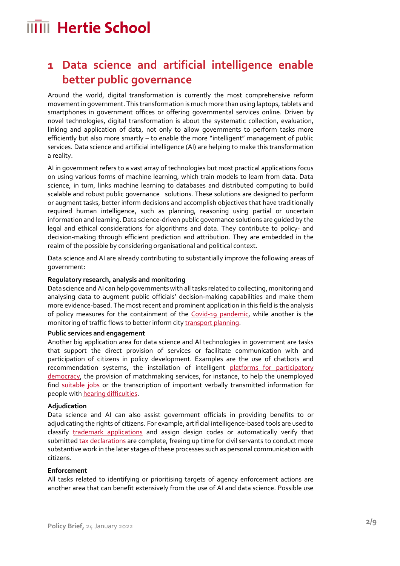### **1 Data science and artificial intelligence enable better public governance**

Around the world, digital transformation is currently the most comprehensive reform movement in government. This transformation is much more than using laptops, tablets and smartphones in government offices or offering governmental services online. Driven by novel technologies, digital transformation is about the systematic collection, evaluation, linking and application of data, not only to allow governments to perform tasks more efficiently but also more smartly – to enable the more "intelligent" management of public services. Data science and artificial intelligence (AI) are helping to make this transformation a reality.

AI in government refers to a vast array of technologies but most practical applications focus on using various forms of machine learning, which train models to learn from data. Data science, in turn, links machine learning to databases and distributed computing to build scalable and robust public governance solutions. These solutions are designed to perform or augment tasks, better inform decisions and accomplish objectives that have traditionally required human intelligence, such as planning, reasoning using partial or uncertain information and learning. Data science-driven public governance solutions are guided by the legal and ethical considerations for algorithms and data. They contribute to policy- and decision-making through efficient prediction and attribution. They are embedded in the realm of the possible by considering organisational and political context.

Data science and AI are already contributing to substantially improve the following areas of government:

### **Regulatory research, analysis and monitoring**

Data science and AI can help governments with all tasks related to collecting, monitoring and analysing data to augment public officials' decision-making capabilities and make them more evidence-based. The most recent and prominent application in this field is the analysis of policy measures for the containment of the [Covid-19 pandemic,](https://doi.org/10.1016/j.dsx.2020.04.012) while another is the monitoring of traffic flows to better inform cit[y transport planning.](https://doi.org/10.3390/su12072789)

#### **Public services and engagement**

Another big application area for data science and AI technologies in government are tasks that support the direct provision of services or facilitate communication with and participation of citizens in policy development. Examples are the use of chatbots and recommendation systems, the installation of intelligent platforms for participatory [democracy,](https://www.nesta.org.uk/feature/collective-intelligence-grants/citizen-participation-and-machine-learning-better-democracy/) the provision of matchmaking services, for instance, to help the unemployed find [suitable jobs](https://www.oecd-opsi.org/innovations/the-work/) or the transcription of important verbally transmitted information for people with [hearing difficulties.](https://www.bloomberg.com/press-releases/2021-11-24/rws-wins-deal-to-provide-european-parliament-with-live-translation-and-transcription-service)

#### **Adjudication**

Data science and AI can also assist government officials in providing benefits to or adjudicating the rights of citizens. For example, artificial intelligence-based tools are used to classify [trademark applications](https://www.uspto.gov/blog/director/entry/artificial-intelligence-tools-at-the) and assign design codes or automatically verify that submitted [tax declarations](https://www.vid.gov.lv/en/electronic-declaration-system) are complete, freeing up time for civil servants to conduct more substantive work in the later stages of these processes such as personal communication with citizens.

#### **Enforcement**

All tasks related to identifying or prioritising targets of agency enforcement actions are another area that can benefit extensively from the use of AI and data science. Possible use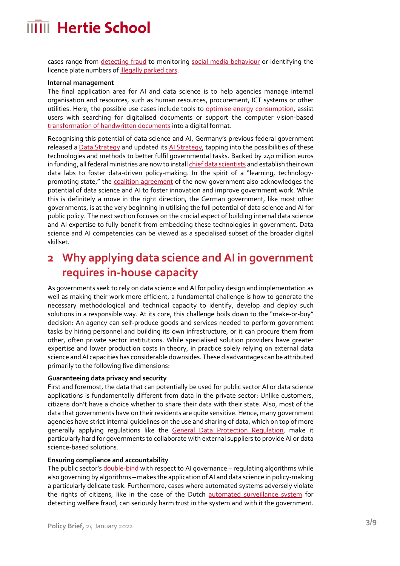cases range from [detecting](https://assets.publishing.service.gov.uk/government/uploads/system/uploads/attachment_data/file/865721/Artificial_intelligence_13_Feb.pdf) fraud to monitoring [social media behaviour](https://www.brennancenter.org/issues/protect-liberty-security/social-media/government-social-media-surveillance) or identifying the licence plate numbers o[f illegally parked cars.](https://doi.org/10.1145/3356471.3365233)

#### **Internal management**

The final application area for AI and data science is to help agencies manage internal organisation and resources, such as human resources, procurement, ICT systems or other utilities. Here, the possible use cases include tools to [optimise energy consumption,](https://doi.org/10.1016/j.ijinfomgt.2020.102074) assist users with searching for digitalised documents or support the computer vision-based [transformation of handwritten documents](https://gcn.com/state-local/2020/10/how-digital-tech-is-giving-old-documents-new-life/315678/) into a digital format.

Recognising this potential of data science and AI, Germany's previous federal government released [a Data Strategy](https://www.bundesregierung.de/breg-de/suche/data-strategy-of-the-federal-german-government-1950612) and updated its [AI Strategy,](https://www.bmwi.de/Redaktion/DE/Publikationen/Technologie/strategie-kuenstliche-intelligenz-fortschreibung-2020.html) tapping into the possibilities of these technologies and methods to better fulfil governmental tasks. Backed by 240 million euros in funding, all federal ministries are now to instal[l chief data scientists](https://www.bundesregierung.de/breg-de/suche/die-bundesregierung-gruendet-datenlabore-und-integriert-chief-data-scientists-in-alle-bundesministerien-1944226) and establish their own data labs to foster data-driven policy-making. In the spirit of a "learning, technologypromoting state," the [coalition agreement](https://www.spd.de/fileadmin/Dokumente/Koalitionsvertrag/Koalitionsvertrag_2021-2025.pdf) of the new government also acknowledges the potential of data science and AI to foster innovation and improve government work. While this is definitely a move in the right direction, the German government, like most other governments, is at the very beginning in utilising the full potential of data science and AI for public policy. The next section focuses on the crucial aspect of building internal data science and AI expertise to fully benefit from embedding these technologies in government. Data science and AI competencies can be viewed as a specialised subset of the broader digital skillset.

### **2 Why applying data science and AI in government requires in-house capacity**

As governments seek to rely on data science and AI for policy design and implementation as well as making their work more efficient, a fundamental challenge is how to generate the necessary methodological and technical capacity to identify, develop and deploy such solutions in a responsible way. At its core, this challenge boils down to the "make-or-buy" decision: An agency can self-produce goods and services needed to perform government tasks by hiring personnel and building its own infrastructure, or it can procure them from other, often private sector institutions. While specialised solution providers have greater expertise and lower production costs in theory, in practice solely relying on external data science and AI capacities has considerable downsides. These disadvantages can be attributed primarily to the following five dimensions:

### **Guaranteeing data privacy and security**

First and foremost, the data that can potentially be used for public sector AI or data science applications is fundamentally different from data in the private sector: Unlike customers, citizens don't have a choice whether to share their data with their state. Also, most of the data that governments have on their residents are quite sensitive. Hence, many government agencies have strict internal guidelines on the use and sharing of data, which on top of more generally applying regulations like the **General Data Protection Regulation**, make it particularly hard for governments to collaborate with external suppliers to provide AI or data science-based solutions.

### **Ensuring compliance and accountability**

The public sector's *double-bind* with respect to AI governance – regulating algorithms while also governing by algorithms – makes the application of AI and data science in policy-making a particularly delicate task. Furthermore, cases where automated systems adversely violate the rights of citizens, like in the case of the Dutch [automated surveillance system](https://www.theguardian.com/technology/2020/feb/05/welfare-surveillance-system-violates-human-rights-dutch-court-rules) for detecting welfare fraud, can seriously harm trust in the system and with it the government.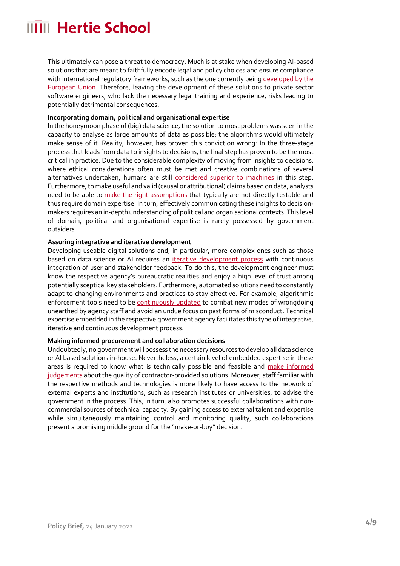This ultimately can pose a threat to democracy. Much is at stake when developing AI-based solutions that are meant to faithfully encode legal and policy choices and ensure compliance with international regulatory frameworks, such as the one currently bein[g developed by the](https://digital-strategy.ec.europa.eu/en/policies/regulatory-framework-ai)  [European Union.](https://digital-strategy.ec.europa.eu/en/policies/regulatory-framework-ai) Therefore, leaving the development of these solutions to private sector software engineers, who lack the necessary legal training and experience, risks leading to potentially detrimental consequences.

### **Incorporating domain, political and organisational expertise**

In the honeymoon phase of (big) data science, the solution to most problems was seen in the capacity to analyse as large amounts of data as possible; the algorithms would ultimately make sense of it. Reality, however, has proven this conviction wrong: In the three-stage process that leads from data to insights to decisions, the final step has proven to be the most critical in practice. Due to the considerable complexity of moving from insights to decisions, where ethical considerations often must be met and creative combinations of several alternatives undertaken, humans are still [considered superior to machines](https://link.springer.com/article/10.1007/s40685-020-00133-x) in this step. Furthermore, to make useful and valid (causal or attributional) claims based on data, analysts need to be able to [make the right assumptions](https://www.science.org/doi/abs/10.1126/science.aal4321) that typically are not directly testable and thus require domain expertise. In turn, effectively communicating these insights to decisionmakers requires an in-depth understanding of political and organisational contexts. This level of domain, political and organisational expertise is rarely possessed by government outsiders.

### **Assuring integrative and iterative development**

Developing useable digital solutions and, in particular, more complex ones such as those based on data science or AI requires an *iterative development process* with continuous integration of user and stakeholder feedback. To do this, the development engineer must know the respective agency's bureaucratic realities and enjoy a high level of trust among potentially sceptical key stakeholders. Furthermore, automated solutions need to constantly adapt to changing environments and practices to stay effective. For example, algorithmic enforcement tools need to be [continuously updated](https://jolt.law.harvard.edu/assets/articlePDFs/v31/31HarvJLTech1.pdf) to combat new modes of wrongdoing unearthed by agency staff and avoid an undue focus on past forms of misconduct. Technical expertise embedded in the respective government agency facilitates this type of integrative, iterative and continuous development process.

#### **Making informed procurement and collaboration decisions**

Undoubtedly, no government will possess the necessary resources to develop all data science or AI based solutions in-house. Nevertheless, a certain level of embedded expertise in these areas is required to know what is technically possible and feasible and make informed [judgements](https://www.gov.uk/government/publications/guidelines-for-ai-procurement) about the quality of contractor-provided solutions. Moreover, staff familiar with the respective methods and technologies is more likely to have access to the network of external experts and institutions, such as research institutes or universities, to advise the government in the process. This, in turn, also promotes successful collaborations with noncommercial sources of technical capacity. By gaining access to external talent and expertise while simultaneously maintaining control and monitoring quality, such collaborations present a promising middle ground for the "make-or-buy" decision.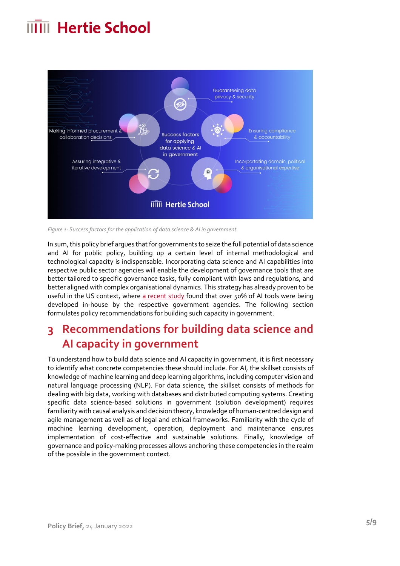

*Figure 1: Success factors for the application of data science & AI in government.*

In sum, this policy brief argues that for governments to seize the full potential of data science and AI for public policy, building up a certain level of internal methodological and technological capacity is indispensable. Incorporating data science and AI capabilities into respective public sector agencies will enable the development of governance tools that are better tailored to specific governance tasks, fully compliant with laws and regulations, and better aligned with complex organisational dynamics. This strategy has already proven to be useful in the US context, where [a recent study](https://www-cdn.law.stanford.edu/wp-content/uploads/2020/02/ACUS-AI-Report.pdf) found that over 50% of AI tools were being developed in-house by the respective government agencies. The following section formulates policy recommendations for building such capacity in government.

### **3 Recommendations for building data science and AI capacity in government**

To understand how to build data science and AI capacity in government, it is first necessary to identify what concrete competencies these should include. For AI, the skillset consists of knowledge of machine learning and deep learning algorithms, including computer vision and natural language processing (NLP). For data science, the skillset consists of methods for dealing with big data, working with databases and distributed computing systems. Creating specific data science-based solutions in government (solution development) requires familiarity with causal analysis and decision theory, knowledge of human-centred design and agile management as well as of legal and ethical frameworks. Familiarity with the cycle of machine learning development, operation, deployment and maintenance ensures implementation of cost-effective and sustainable solutions. Finally, knowledge of governance and policy-making processes allows anchoring these competencies in the realm of the possible in the government context.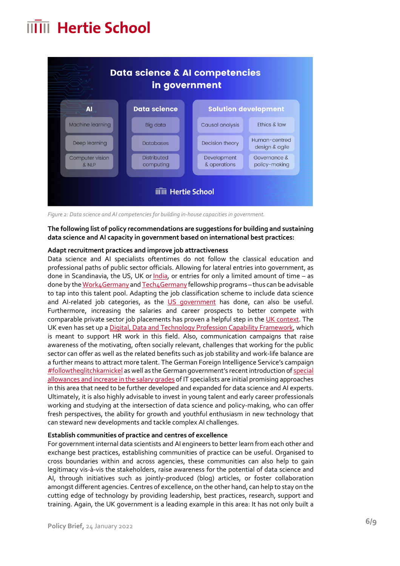

*Figure 2: Data science and AI competencies for building in-house capacities in government.*

### **The following list of policy recommendations are suggestions for building and sustaining data science and AI capacity in government based on international best practices:**

### **Adapt recruitment practices and improve job attractiveness**

Data science and AI specialists oftentimes do not follow the classical education and professional paths of public sector officials. Allowing for lateral entries into government, as done in Scandinavia, the US, UK or  $lndia$ , or entries for only a limited amount of time – as done by th[e Work4Germany](https://digitalservice.bund.de/work4germany) an[d Tech4Germany](https://digitalservice.bund.de/tech4germany/) fellowship programs – thus can be advisable to tap into this talent pool. Adapting the job classification scheme to include data science and AI-related job categories, as the [US government](https://www.chcoc.gov/content/data-scientist-titling-guidance) has done, can also be useful. Furthermore, increasing the salaries and career prospects to better compete with comparable private sector job placements has proven a helpful step in th[e UK context.](https://www.information-age.com/uk-government-data-scientists-123472259/) The UK even has set up a [Digital, Data and Technology Profession Capability Framework,](https://www.gov.uk/government/collections/digital-data-and-technology-profession-capability-framework) which is meant to support HR work in this field. Also, communication campaigns that raise awareness of the motivating, often socially relevant, challenges that working for the public sector can offer as well as the related benefits such as job stability and work-life balance are a further means to attract more talent. The German Foreign Intelligence Service's campaign [#followtheglitchkarnickel](https://www.deutschlandfunknova.de/beitrag/hacker-gesucht-bnd-lockt-mit-kaninchen-und-techno-musik) as well as the German government's recent introduction of special [allowances and increase in the salary grades](https://www.tagesspiegel.de/wirtschaft/80-000-euro-praemie-behoerden-wollen-it-fachkraefte-mit-deutlich-mehr-geld-locken/24588500.html) of IT specialists are initial promising approaches in this area that need to be further developed and expanded for data science and AI experts. Ultimately, it is also highly advisable to invest in young talent and early career professionals working and studying at the intersection of data science and policy-making, who can offer fresh perspectives, the ability for growth and youthful enthusiasm in new technology that can steward new developments and tackle complex AI challenges.

#### **Establish communities of practice and centres of excellence**

For government internal data scientists and AI engineers to better learn from each other and exchange best practices, establishing communities of practice can be useful. Organised to cross boundaries within and across agencies, these communities can also help to gain legitimacy vis-à-vis the stakeholders, raise awareness for the potential of data science and AI, through initiatives such as jointly-produced (blog) articles, or foster collaboration amongst different agencies. Centres of excellence, on the other hand, can help to stay on the cutting edge of technology by providing leadership, best practices, research, support and training. Again, the UK government is a leading example in this area: It has not only built a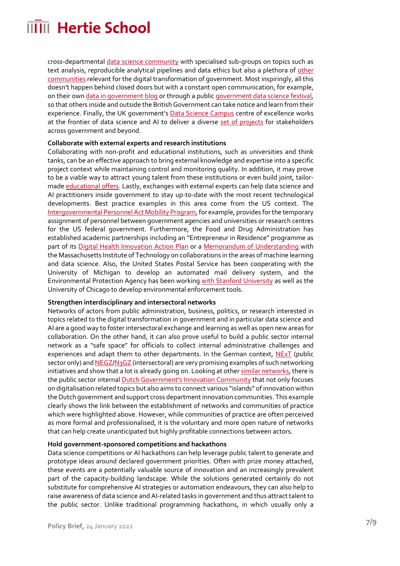cross-departmental [data science community](https://www.gov.uk/service-manual/communities/data-science-community) with specialised sub-groups on topics such as text analysis, reproducible analytical pipelines and data ethics but also a plethora of other [communities](https://www.gov.uk/service-manual/communities?_ga=2.177569507.791343841.1635431613-181859493.1635431613) relevant for the digital transformation of government. Most inspiringly, all this doesn't happen behind closed doors but with a constant open communication, for example, on their ow[n data in government blog](https://dataingovernment.blog.gov.uk/) or through a public [government data science festival,](https://dataingovernment.blog.gov.uk/2020/12/07/all-in-lessons-from-the-first-virtual-government-data-science-festival/) so that others inside and outside the British Government can take notice and learn from their experience. Finally, the UK government's **Data Science Campus** centre of excellence works at the frontier of data science and AI to deliver a diverse [set of projects](https://datasciencecampus.ons.gov.uk/projects/) for stakeholders across government and beyond.

### **Collaborate with external experts and research institutions**

Collaborating with non-profit and educational institutions, such as universities and think tanks, can be an effective approach to bring external knowledge and expertise into a specific project context while maintaining control and monitoring quality. In addition, it may prove to be a viable way to attract young talent from these institutions or even build joint, tailormade [educational offers.](https://datasciencecampus.ons.gov.uk/capability/msc-in-data-analytics-for-government/) Lastly, exchanges with external experts can help data science and AI practitioners inside government to stay up-to-date with the most recent technological developments. Best practice examples in this area come from the US context. The [Intergovernmental Personnel Act Mobility Program,](https://www.opm.gov/policy-data-oversight/hiring-information/intergovernment-personnel-act/) for example, provides for the temporary assignment of personnel between government agencies and universities or research centres for the US federal government. Furthermore, the Food and Drug Administration has established academic partnerships including an "Entrepreneur in Residence" programme as part of its [Digital Health Innovation Action Plan](https://www.fda.gov/media/106331/download) or a [Memorandum of Understanding](https://perma.cc/DUA8-9KM4) with the Massachusetts Institute of Technology on collaborations in the areas of machine learning and data science. Also, the United States Postal Service has been cooperating with the University of Michigan to develop an automated mail delivery system, and the Environmental Protection Agency has been workin[g with Stanford University](https://www.acwa-us.org/wp-content/uploads/2020/01/Final-Agenda-for-SNC-Conference-II-01162020.pdf) as well as the University of Chicago to develop environmental enforcement tools.

### **Strengthen interdisciplinary and intersectoral networks**

Networks of actors from public administration, business, politics, or research interested in topics related to the digital transformation in government and in particular data science and AI are a good way to foster intersectoral exchange and learning as well as open new areas for collaboration. On the other hand, it can also prove useful to build a public sector internal network as a "safe space" for officials to collect internal administrative challenges and experiences and adapt them to other departments. In the German context,  $NExT$  (public sector only) an[d NEGZ/](https://negz.org/ueber-uns/wer-wir-sind/)[N3GZ](https://n3gz.org/) (intersectoral) are very promising examples of such networking initiatives and show that a lot is already going on. Looking at othe[r similar networks,](https://oecd-opsi.org/join-opsis-innovation-community/public-sector-innovation-networks/) there is the public sector internal **[Dutch Government's Innovation Community](https://www.rijksinnovatiecommunity.nl/)** that not only focuses on digitalisation related topics but also aims to connect various "islands" of innovation within the Dutch government and support cross department innovation communities. This example clearly shows the link between the establishment of networks and communities of practice which were highlighted above. However, while communities of practice are often perceived as more formal and professionalised, it is the voluntary and more open nature of networks that can help create unanticipated but highly profitable connections between actors.

#### **Hold government-sponsored competitions and hackathons**

Data science competitions or AI hackathons can help leverage public talent to generate and prototype ideas around declared government priorities. Often with prize money attached, these events are a potentially valuable source of innovation and an increasingly prevalent part of the capacity-building landscape. While the solutions generated certainly do not substitute for comprehensive AI strategies or automation endeavours, they can also help to raise awareness of data science and AI-related tasks in government and thus attract talent to the public sector. Unlike traditional programming hackathons, in which usually only a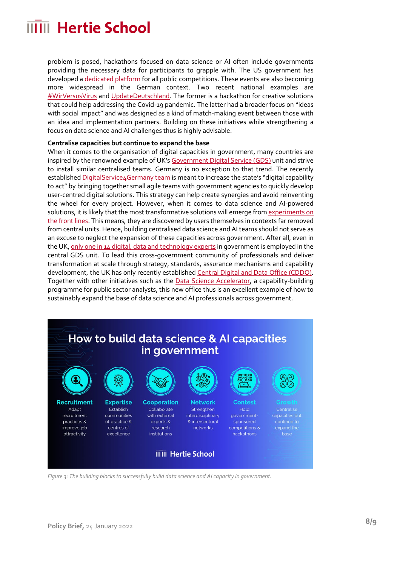problem is posed, hackathons focused on data science or AI often include governments providing the necessary data for participants to grapple with. The US government has developed [a dedicated platform](https://www.challenge.gov/) for all public competitions. These events are also becoming more widespread in the German context. Two recent national examples are [#WirVersusVirus](https://www.bundesregierung.de/breg-de/themen/coronavirus/hackathon-der-bundesregierung-1733632) an[d UpdateDeutschland.](https://www.bundesregierung.de/breg-de/suche/updatedeutschland-faq-1875710) The former is a hackathon for creative solutions that could help addressing the Covid-19 pandemic. The latter had a broader focus on "ideas with social impact" and was designed as a kind of match-making event between those with an idea and implementation partners. Building on these initiatives while strengthening a focus on data science and AI challenges thus is highly advisable.

### **Centralise capacities but continue to expand the base**

When it comes to the organisation of digital capacities in government, many countries are inspired by the renowned example of UK'[s Government Digital Service \(GDS\)](https://gds.blog.gov.uk/about/) unit and strive to install similar centralised teams. Germany is no exception to that trend. The recently establishe[d DigitalService4Germany](https://digitalservice4germany.org/) team is meant to increase the state's "digital capability to act" by bringing together small agile teams with government agencies to quickly develop user-centred digital solutions. This strategy can help create synergies and avoid reinventing the wheel for every project. However, when it comes to data science and AI-powered solutions, it is likely that the most transformative solutions will emerge from experiments on [the front lines.](https://media.defense.gov/2019/Feb/12/2002088963/-1/-1/1/SUMMARY-OF-DOD-AI-STRATEGY.PDF) This means, they are discovered by users themselves in contexts far removed from central units. Hence, building centralised data science and AI teams should not serve as an excuse to neglect the expansion of these capacities across government. After all, even in the UK[, only one in 14 digital, data and technology experts](https://www.publictechnology.net/articles/features/interview-government-ddat-skills-chief-her-work-recruit-and-develop-digital) in government is employed in the central GDS unit. To lead this cross-government community of professionals and deliver transformation at scale through strategy, standards, assurance mechanisms and capability development, the UK has only recently establishe[d Central Digital and Data Office \(CDDO\).](https://gds.blog.gov.uk/2021/04/06/the-next-steps-for-digital-data-and-technology-in-government/) Together with other initiatives such as the [Data Science Accelerator,](https://www.gov.uk/government/publications/data-science-accelerator-programme/introduction-to-the-data-science-accelerator-programme) a capability-building programme for public sector analysts, this new office thus is an excellent example of how to sustainably expand the base of data science and AI professionals across government.



*Figure 3: The building blocks to successfully build data science and AI capacity in government.*